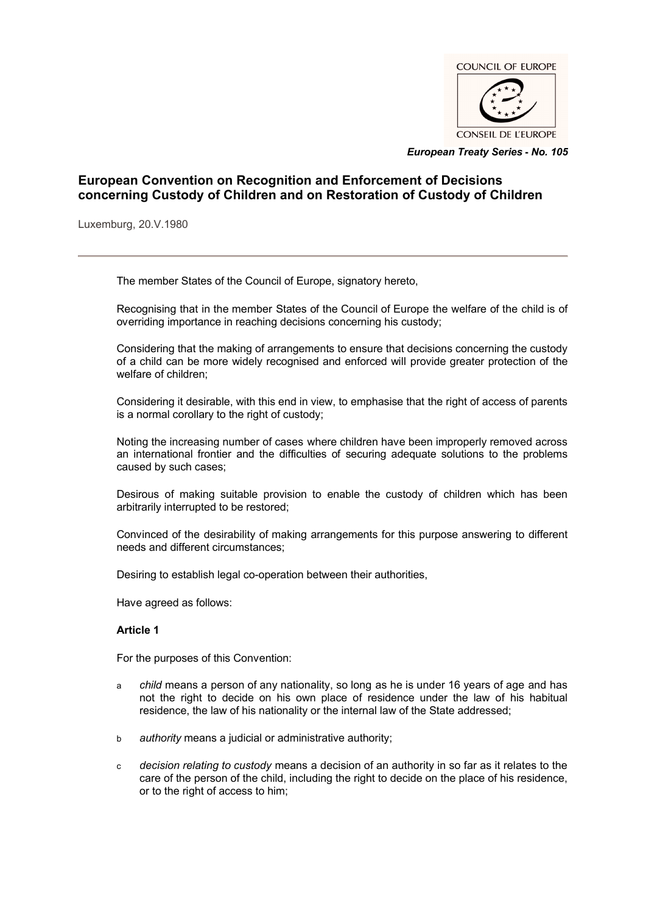

*European Treaty Series* **-** *No. 105*

# **European Convention on Recognition and Enforcement of Decisions concerning Custody of Children and on Restoration of Custody of Children**

Luxemburg, 20.V.1980

The member States of the Council of Europe, signatory hereto,

Recognising that in the member States of the Council of Europe the welfare of the child is of overriding importance in reaching decisions concerning his custody;

Considering that the making of arrangements to ensure that decisions concerning the custody of a child can be more widely recognised and enforced will provide greater protection of the welfare of children;

Considering it desirable, with this end in view, to emphasise that the right of access of parents is a normal corollary to the right of custody;

Noting the increasing number of cases where children have been improperly removed across an international frontier and the difficulties of securing adequate solutions to the problems caused by such cases;

Desirous of making suitable provision to enable the custody of children which has been arbitrarily interrupted to be restored;

Convinced of the desirability of making arrangements for this purpose answering to different needs and different circumstances;

Desiring to establish legal co-operation between their authorities,

Have agreed as follows:

#### **Article 1**

For the purposes of this Convention:

- a *child* means a person of any nationality, so long as he is under 16 years of age and has not the right to decide on his own place of residence under the law of his habitual residence, the law of his nationality or the internal law of the State addressed;
- b *authority* means a judicial or administrative authority;
- c *decision relating to custody* means a decision of an authority in so far as it relates to the care of the person of the child, including the right to decide on the place of his residence, or to the right of access to him;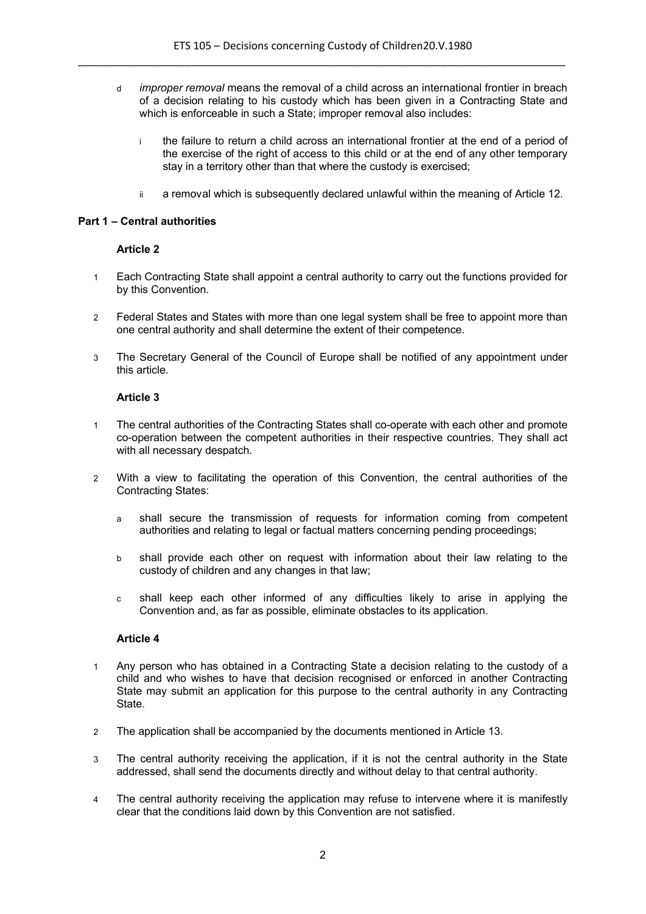- d *improper removal* means the removal of a child across an international frontier in breach of a decision relating to his custody which has been given in a Contracting State and which is enforceable in such a State; improper removal also includes:
	- i the failure to return a child across an international frontier at the end of a period of the exercise of the right of access to this child or at the end of any other temporary stay in a territory other than that where the custody is exercised;
	- ii a removal which is subsequently declared unlawful within the meaning of Article 12.

### **Part 1 – Central authorities**

# **Article 2**

- 1 Each Contracting State shall appoint a central authority to carry out the functions provided for by this Convention.
- 2 Federal States and States with more than one legal system shall be free to appoint more than one central authority and shall determine the extent of their competence.
- 3 The Secretary General of the Council of Europe shall be notified of any appointment under this article.

#### **Article 3**

- 1 The central authorities of the Contracting States shall co-operate with each other and promote co-operation between the competent authorities in their respective countries. They shall act with all necessary despatch.
- 2 With a view to facilitating the operation of this Convention, the central authorities of the Contracting States:
	- a shall secure the transmission of requests for information coming from competent authorities and relating to legal or factual matters concerning pending proceedings;
	- b shall provide each other on request with information about their law relating to the custody of children and any changes in that law;
	- c shall keep each other informed of any difficulties likely to arise in applying the Convention and, as far as possible, eliminate obstacles to its application.

- 1 Any person who has obtained in a Contracting State a decision relating to the custody of a child and who wishes to have that decision recognised or enforced in another Contracting State may submit an application for this purpose to the central authority in any Contracting State.
- 2 The application shall be accompanied by the documents mentioned in Article 13.
- 3 The central authority receiving the application, if it is not the central authority in the State addressed, shall send the documents directly and without delay to that central authority.
- 4 The central authority receiving the application may refuse to intervene where it is manifestly clear that the conditions laid down by this Convention are not satisfied.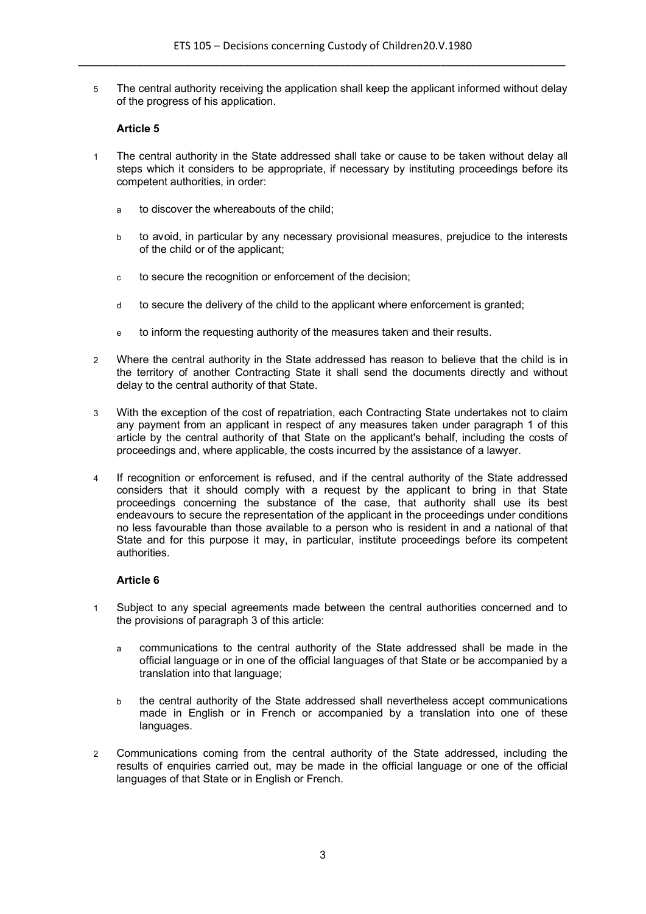5 The central authority receiving the application shall keep the applicant informed without delay of the progress of his application.

# **Article 5**

- 1 The central authority in the State addressed shall take or cause to be taken without delay all steps which it considers to be appropriate, if necessary by instituting proceedings before its competent authorities, in order:
	- a to discover the whereabouts of the child;
	- b to avoid, in particular by any necessary provisional measures, prejudice to the interests of the child or of the applicant;
	- c to secure the recognition or enforcement of the decision;
	- d to secure the delivery of the child to the applicant where enforcement is granted;
	- e to inform the requesting authority of the measures taken and their results.
- 2 Where the central authority in the State addressed has reason to believe that the child is in the territory of another Contracting State it shall send the documents directly and without delay to the central authority of that State.
- 3 With the exception of the cost of repatriation, each Contracting State undertakes not to claim any payment from an applicant in respect of any measures taken under paragraph 1 of this article by the central authority of that State on the applicant's behalf, including the costs of proceedings and, where applicable, the costs incurred by the assistance of a lawyer.
- 4 If recognition or enforcement is refused, and if the central authority of the State addressed considers that it should comply with a request by the applicant to bring in that State proceedings concerning the substance of the case, that authority shall use its best endeavours to secure the representation of the applicant in the proceedings under conditions no less favourable than those available to a person who is resident in and a national of that State and for this purpose it may, in particular, institute proceedings before its competent authorities.

- 1 Subject to any special agreements made between the central authorities concerned and to the provisions of paragraph 3 of this article:
	- a communications to the central authority of the State addressed shall be made in the official language or in one of the official languages of that State or be accompanied by a translation into that language;
	- b the central authority of the State addressed shall nevertheless accept communications made in English or in French or accompanied by a translation into one of these languages.
- 2 Communications coming from the central authority of the State addressed, including the results of enquiries carried out, may be made in the official language or one of the official languages of that State or in English or French.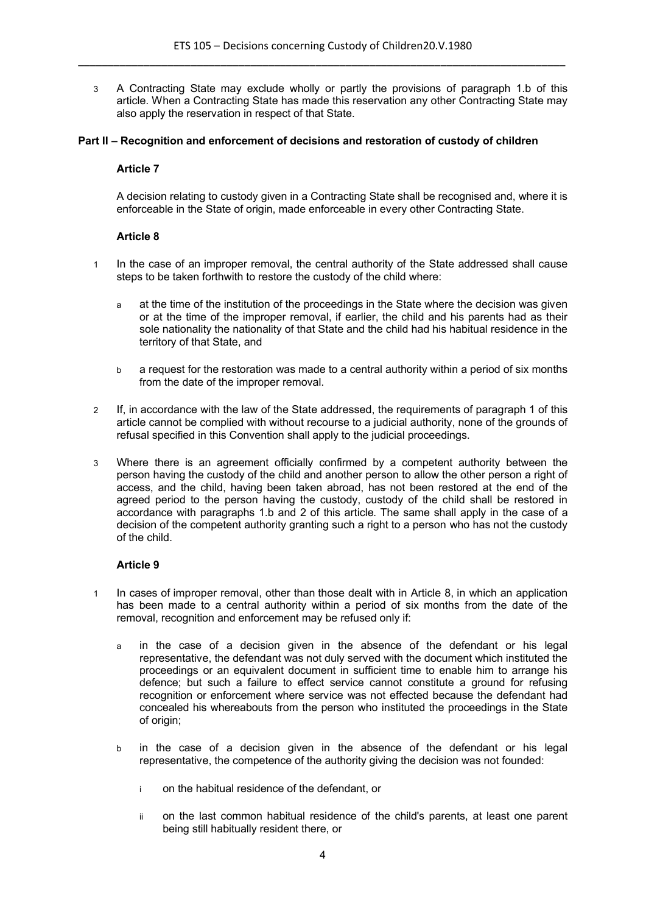3 A Contracting State may exclude wholly or partly the provisions of paragraph 1.b of this article. When a Contracting State has made this reservation any other Contracting State may also apply the reservation in respect of that State.

### **Part II – Recognition and enforcement of decisions and restoration of custody of children**

#### **Article 7**

A decision relating to custody given in a Contracting State shall be recognised and, where it is enforceable in the State of origin, made enforceable in every other Contracting State.

#### **Article 8**

- 1 In the case of an improper removal, the central authority of the State addressed shall cause steps to be taken forthwith to restore the custody of the child where:
	- a at the time of the institution of the proceedings in the State where the decision was given or at the time of the improper removal, if earlier, the child and his parents had as their sole nationality the nationality of that State and the child had his habitual residence in the territory of that State, and
	- b a request for the restoration was made to a central authority within a period of six months from the date of the improper removal.
- 2 If, in accordance with the law of the State addressed, the requirements of paragraph 1 of this article cannot be complied with without recourse to a judicial authority, none of the grounds of refusal specified in this Convention shall apply to the judicial proceedings.
- 3 Where there is an agreement officially confirmed by a competent authority between the person having the custody of the child and another person to allow the other person a right of access, and the child, having been taken abroad, has not been restored at the end of the agreed period to the person having the custody, custody of the child shall be restored in accordance with paragraphs 1.b and 2 of this article. The same shall apply in the case of a decision of the competent authority granting such a right to a person who has not the custody of the child.

- 1 In cases of improper removal, other than those dealt with in Article 8, in which an application has been made to a central authority within a period of six months from the date of the removal, recognition and enforcement may be refused only if:
	- a in the case of a decision given in the absence of the defendant or his legal representative, the defendant was not duly served with the document which instituted the proceedings or an equivalent document in sufficient time to enable him to arrange his defence; but such a failure to effect service cannot constitute a ground for refusing recognition or enforcement where service was not effected because the defendant had concealed his whereabouts from the person who instituted the proceedings in the State of origin:
	- b in the case of a decision given in the absence of the defendant or his legal representative, the competence of the authority giving the decision was not founded:
		- i on the habitual residence of the defendant, or
		- ii on the last common habitual residence of the child's parents, at least one parent being still habitually resident there, or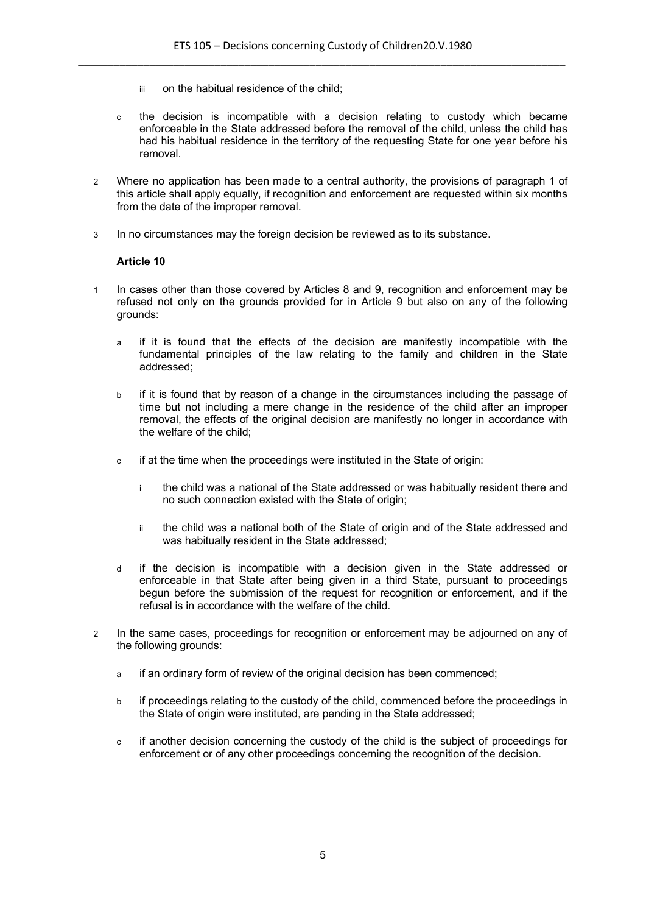- iii on the habitual residence of the child:
- c the decision is incompatible with a decision relating to custody which became enforceable in the State addressed before the removal of the child, unless the child has had his habitual residence in the territory of the requesting State for one year before his removal.
- 2 Where no application has been made to a central authority, the provisions of paragraph 1 of this article shall apply equally, if recognition and enforcement are requested within six months from the date of the improper removal.
- 3 In no circumstances may the foreign decision be reviewed as to its substance.

- 1 In cases other than those covered by Articles 8 and 9, recognition and enforcement may be refused not only on the grounds provided for in Article 9 but also on any of the following grounds:
	- a if it is found that the effects of the decision are manifestly incompatible with the fundamental principles of the law relating to the family and children in the State addressed;
	- b if it is found that by reason of a change in the circumstances including the passage of time but not including a mere change in the residence of the child after an improper removal, the effects of the original decision are manifestly no longer in accordance with the welfare of the child;
	- c if at the time when the proceedings were instituted in the State of origin:
		- i the child was a national of the State addressed or was habitually resident there and no such connection existed with the State of origin;
		- ii the child was a national both of the State of origin and of the State addressed and was habitually resident in the State addressed;
	- d if the decision is incompatible with a decision given in the State addressed or enforceable in that State after being given in a third State, pursuant to proceedings begun before the submission of the request for recognition or enforcement, and if the refusal is in accordance with the welfare of the child.
- 2 In the same cases, proceedings for recognition or enforcement may be adjourned on any of the following grounds:
	- a if an ordinary form of review of the original decision has been commenced;
	- b if proceedings relating to the custody of the child, commenced before the proceedings in the State of origin were instituted, are pending in the State addressed:
	- c if another decision concerning the custody of the child is the subject of proceedings for enforcement or of any other proceedings concerning the recognition of the decision.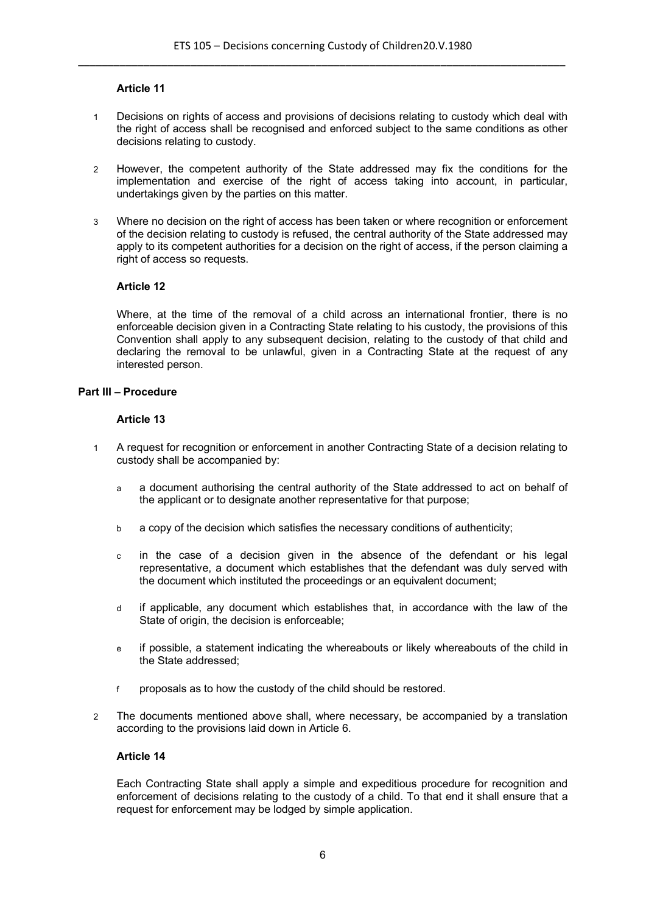- 1 Decisions on rights of access and provisions of decisions relating to custody which deal with the right of access shall be recognised and enforced subject to the same conditions as other decisions relating to custody.
- 2 However, the competent authority of the State addressed may fix the conditions for the implementation and exercise of the right of access taking into account, in particular, undertakings given by the parties on this matter.
- 3 Where no decision on the right of access has been taken or where recognition or enforcement of the decision relating to custody is refused, the central authority of the State addressed may apply to its competent authorities for a decision on the right of access, if the person claiming a right of access so requests.

### **Article 12**

Where, at the time of the removal of a child across an international frontier, there is no enforceable decision given in a Contracting State relating to his custody, the provisions of this Convention shall apply to any subsequent decision, relating to the custody of that child and declaring the removal to be unlawful, given in a Contracting State at the request of any interested person.

#### **Part III – Procedure**

#### **Article 13**

- 1 A request for recognition or enforcement in another Contracting State of a decision relating to custody shall be accompanied by:
	- a a document authorising the central authority of the State addressed to act on behalf of the applicant or to designate another representative for that purpose;
	- b a copy of the decision which satisfies the necessary conditions of authenticity;
	- c in the case of a decision given in the absence of the defendant or his legal representative, a document which establishes that the defendant was duly served with the document which instituted the proceedings or an equivalent document;
	- d if applicable, any document which establishes that, in accordance with the law of the State of origin, the decision is enforceable;
	- e if possible, a statement indicating the whereabouts or likely whereabouts of the child in the State addressed;
	- f proposals as to how the custody of the child should be restored.
- 2 The documents mentioned above shall, where necessary, be accompanied by a translation according to the provisions laid down in Article 6.

# **Article 14**

Each Contracting State shall apply a simple and expeditious procedure for recognition and enforcement of decisions relating to the custody of a child. To that end it shall ensure that a request for enforcement may be lodged by simple application.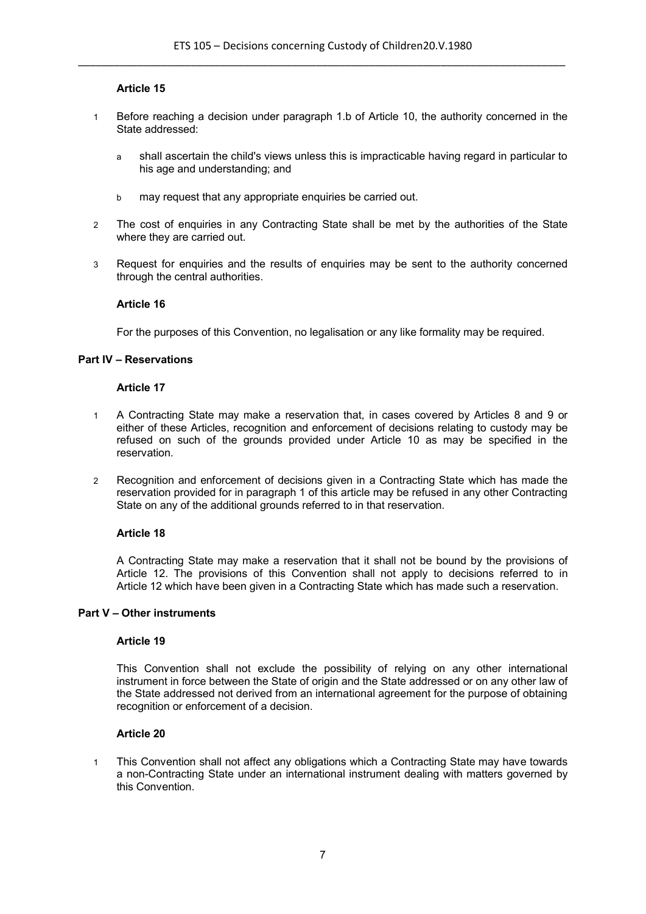- 1 Before reaching a decision under paragraph 1.b of Article 10, the authority concerned in the State addressed:
	- a shall ascertain the child's views unless this is impracticable having regard in particular to his age and understanding; and
	- b may request that any appropriate enquiries be carried out.
- 2 The cost of enquiries in any Contracting State shall be met by the authorities of the State where they are carried out.
- 3 Request for enquiries and the results of enquiries may be sent to the authority concerned through the central authorities.

### **Article 16**

For the purposes of this Convention, no legalisation or any like formality may be required.

### **Part IV – Reservations**

#### **Article 17**

- 1 A Contracting State may make a reservation that, in cases covered by Articles 8 and 9 or either of these Articles, recognition and enforcement of decisions relating to custody may be refused on such of the grounds provided under Article 10 as may be specified in the reservation.
- 2 Recognition and enforcement of decisions given in a Contracting State which has made the reservation provided for in paragraph 1 of this article may be refused in any other Contracting State on any of the additional grounds referred to in that reservation.

### **Article 18**

A Contracting State may make a reservation that it shall not be bound by the provisions of Article 12. The provisions of this Convention shall not apply to decisions referred to in Article 12 which have been given in a Contracting State which has made such a reservation.

# **Part V – Other instruments**

# **Article 19**

This Convention shall not exclude the possibility of relying on any other international instrument in force between the State of origin and the State addressed or on any other law of the State addressed not derived from an international agreement for the purpose of obtaining recognition or enforcement of a decision.

### **Article 20**

1 This Convention shall not affect any obligations which a Contracting State may have towards a non-Contracting State under an international instrument dealing with matters governed by this Convention.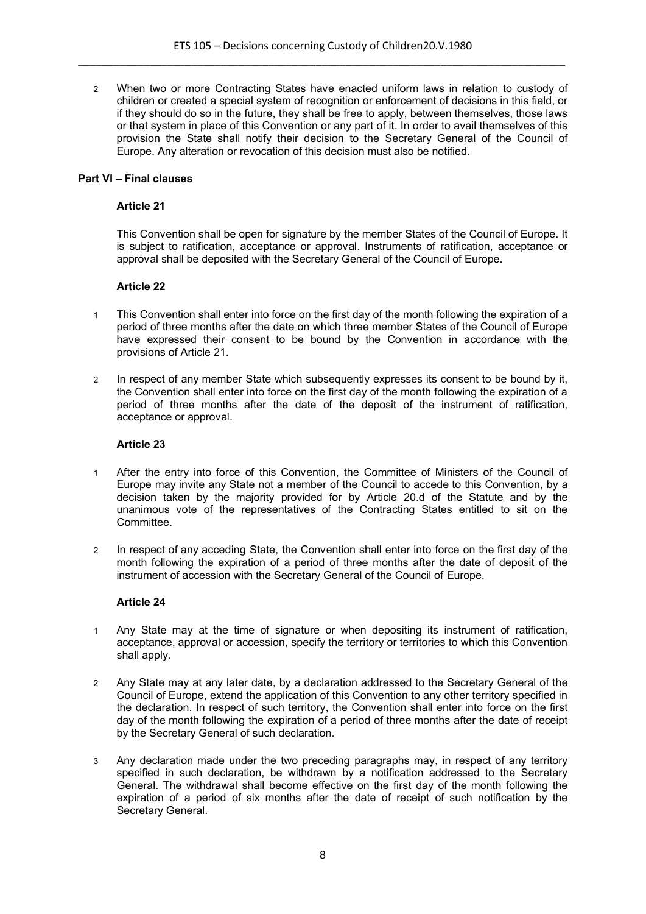2 When two or more Contracting States have enacted uniform laws in relation to custody of children or created a special system of recognition or enforcement of decisions in this field, or if they should do so in the future, they shall be free to apply, between themselves, those laws or that system in place of this Convention or any part of it. In order to avail themselves of this provision the State shall notify their decision to the Secretary General of the Council of Europe. Any alteration or revocation of this decision must also be notified.

### **Part VI – Final clauses**

### **Article 21**

This Convention shall be open for signature by the member States of the Council of Europe. It is subject to ratification, acceptance or approval. Instruments of ratification, acceptance or approval shall be deposited with the Secretary General of the Council of Europe.

#### **Article 22**

- 1 This Convention shall enter into force on the first day of the month following the expiration of a period of three months after the date on which three member States of the Council of Europe have expressed their consent to be bound by the Convention in accordance with the provisions of Article 21.
- 2 In respect of any member State which subsequently expresses its consent to be bound by it, the Convention shall enter into force on the first day of the month following the expiration of a period of three months after the date of the deposit of the instrument of ratification, acceptance or approval.

# **Article 23**

- 1 After the entry into force of this Convention, the Committee of Ministers of the Council of Europe may invite any State not a member of the Council to accede to this Convention, by a decision taken by the majority provided for by Article 20.d of the Statute and by the unanimous vote of the representatives of the Contracting States entitled to sit on the Committee.
- 2 In respect of any acceding State, the Convention shall enter into force on the first day of the month following the expiration of a period of three months after the date of deposit of the instrument of accession with the Secretary General of the Council of Europe.

- 1 Any State may at the time of signature or when depositing its instrument of ratification, acceptance, approval or accession, specify the territory or territories to which this Convention shall apply.
- 2 Any State may at any later date, by a declaration addressed to the Secretary General of the Council of Europe, extend the application of this Convention to any other territory specified in the declaration. In respect of such territory, the Convention shall enter into force on the first day of the month following the expiration of a period of three months after the date of receipt by the Secretary General of such declaration.
- 3 Any declaration made under the two preceding paragraphs may, in respect of any territory specified in such declaration, be withdrawn by a notification addressed to the Secretary General. The withdrawal shall become effective on the first day of the month following the expiration of a period of six months after the date of receipt of such notification by the Secretary General.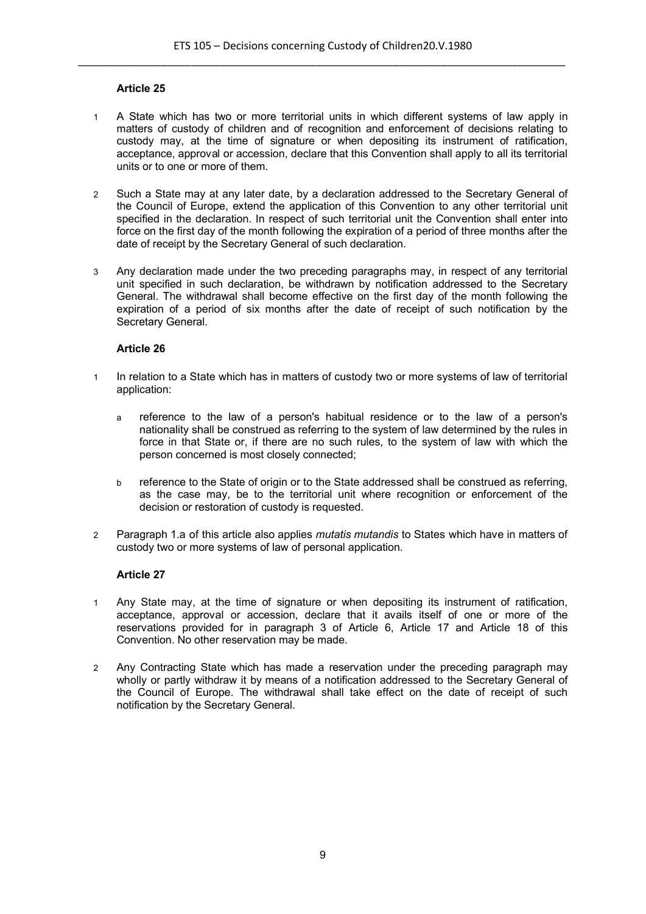- 1 A State which has two or more territorial units in which different systems of law apply in matters of custody of children and of recognition and enforcement of decisions relating to custody may, at the time of signature or when depositing its instrument of ratification, acceptance, approval or accession, declare that this Convention shall apply to all its territorial units or to one or more of them.
- 2 Such a State may at any later date, by a declaration addressed to the Secretary General of the Council of Europe, extend the application of this Convention to any other territorial unit specified in the declaration. In respect of such territorial unit the Convention shall enter into force on the first day of the month following the expiration of a period of three months after the date of receipt by the Secretary General of such declaration.
- 3 Any declaration made under the two preceding paragraphs may, in respect of any territorial unit specified in such declaration, be withdrawn by notification addressed to the Secretary General. The withdrawal shall become effective on the first day of the month following the expiration of a period of six months after the date of receipt of such notification by the Secretary General.

#### **Article 26**

- 1 In relation to a State which has in matters of custody two or more systems of law of territorial application:
	- a reference to the law of a person's habitual residence or to the law of a person's nationality shall be construed as referring to the system of law determined by the rules in force in that State or, if there are no such rules, to the system of law with which the person concerned is most closely connected;
	- b reference to the State of origin or to the State addressed shall be construed as referring, as the case may, be to the territorial unit where recognition or enforcement of the decision or restoration of custody is requested.
- 2 Paragraph 1.a of this article also applies *mutatis mutandis* to States which have in matters of custody two or more systems of law of personal application.

- 1 Any State may, at the time of signature or when depositing its instrument of ratification, acceptance, approval or accession, declare that it avails itself of one or more of the reservations provided for in paragraph 3 of Article 6, Article 17 and Article 18 of this Convention. No other reservation may be made.
- 2 Any Contracting State which has made a reservation under the preceding paragraph may wholly or partly withdraw it by means of a notification addressed to the Secretary General of the Council of Europe. The withdrawal shall take effect on the date of receipt of such notification by the Secretary General.